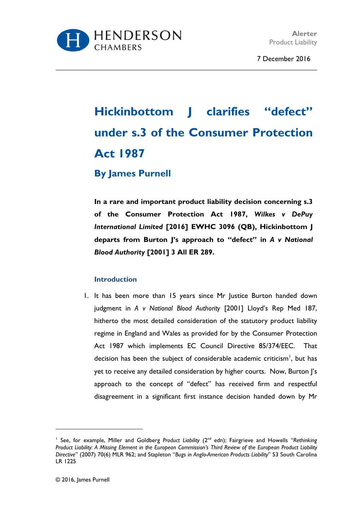

7 December 2016

# **Hickinbottom J clarifies "defect" under s.3 of the Consumer Protection Act 1987**

# **By James Purnell**

**In a rare and important product liability decision concerning s.3 of the Consumer Protection Act 1987,** *Wilkes v DePuy International Limited* **[2016] EWHC 3096 (QB), Hickinbottom J departs from Burton J's approach to "defect" in** *A v National Blood Authority* **[2001] 3 All ER 289.**

### **Introduction**

1. It has been more than 15 years since Mr Justice Burton handed down judgment in *A v National Blood Authority* [2001] Lloyd's Rep Med 187, hitherto the most detailed consideration of the statutory product liability regime in England and Wales as provided for by the Consumer Protection Act 1987 which implements EC Council Directive 85/374/EEC. That decision has been the subject of considerable academic criticism<sup>[1](#page-0-0)</sup>, but has yet to receive any detailed consideration by higher courts. Now, Burton J's approach to the concept of "defect" has received firm and respectful disagreement in a significant first instance decision handed down by Mr

 $\overline{a}$ 

<span id="page-0-0"></span><sup>&</sup>lt;sup>1</sup> See, for example, Miller and Goldberg *Product Liability* (2<sup>nd</sup> edn); Fairgrieve and Howells "Rethinking *Product Liability: A Missing Element in the European Commission's Third Review of the European Product Liability Directive*" (2007) 70(6) MLR 962; and Stapleton "*Bugs in Anglo-American Products Liability*" 53 South Carolina LR 1225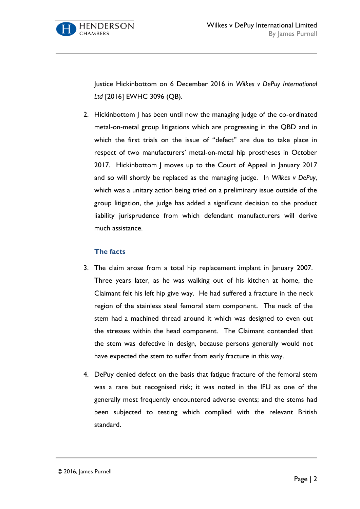

Justice Hickinbottom on 6 December 2016 in *Wilkes v DePuy International Ltd* [2016] EWHC 3096 (QB).

2. Hickinbottom J has been until now the managing judge of the co-ordinated metal-on-metal group litigations which are progressing in the QBD and in which the first trials on the issue of "defect" are due to take place in respect of two manufacturers' metal-on-metal hip prostheses in October 2017. Hickinbottom J moves up to the Court of Appeal in January 2017 and so will shortly be replaced as the managing judge. In *Wilkes v DePuy*, which was a unitary action being tried on a preliminary issue outside of the group litigation, the judge has added a significant decision to the product liability jurisprudence from which defendant manufacturers will derive much assistance.

# **The facts**

- 3. The claim arose from a total hip replacement implant in January 2007. Three years later, as he was walking out of his kitchen at home, the Claimant felt his left hip give way. He had suffered a fracture in the neck region of the stainless steel femoral stem component. The neck of the stem had a machined thread around it which was designed to even out the stresses within the head component. The Claimant contended that the stem was defective in design, because persons generally would not have expected the stem to suffer from early fracture in this way.
- 4. DePuy denied defect on the basis that fatigue fracture of the femoral stem was a rare but recognised risk; it was noted in the IFU as one of the generally most frequently encountered adverse events; and the stems had been subjected to testing which complied with the relevant British standard.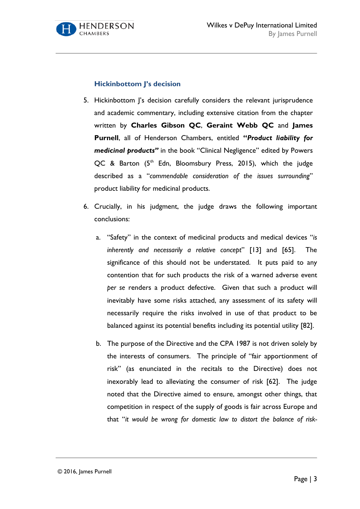

# **Hickinbottom J's decision**

- 5. Hickinbottom J's decision carefully considers the relevant jurisprudence and academic commentary, including extensive citation from the chapter written by **Charles Gibson QC**, **Geraint Webb QC** and **James Purnell**, all of Henderson Chambers, entitled **"***Product liability for medicinal products"* in the book "Clinical Negligence" edited by Powers QC & Barton (5<sup>th</sup> Edn, Bloomsbury Press, 2015), which the judge described as a "*commendable consideration of the issues surrounding*" product liability for medicinal products.
- 6. Crucially, in his judgment, the judge draws the following important conclusions:
	- a. "Safety" in the context of medicinal products and medical devices "*is inherently and necessarily a relative concept*" [13] and [65]. The significance of this should not be understated. It puts paid to any contention that for such products the risk of a warned adverse event *per se* renders a product defective. Given that such a product will inevitably have some risks attached, any assessment of its safety will necessarily require the risks involved in use of that product to be balanced against its potential benefits including its potential utility [82].
	- b. The purpose of the Directive and the CPA 1987 is not driven solely by the interests of consumers. The principle of "fair apportionment of risk" (as enunciated in the recitals to the Directive) does not inexorably lead to alleviating the consumer of risk [62]. The judge noted that the Directive aimed to ensure, amongst other things, that competition in respect of the supply of goods is fair across Europe and that "*it would be wrong for domestic law to distort the balance of risk-*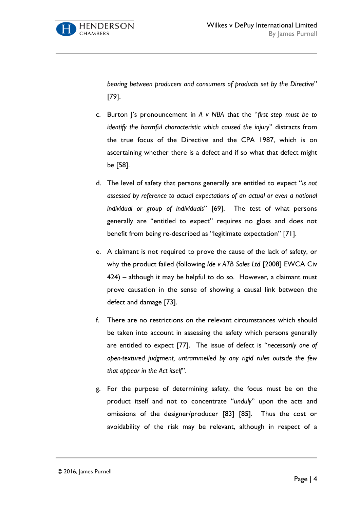

*bearing between producers and consumers of products set by the Directive*" [79].

- c. Burton J's pronouncement in *A v NBA* that the "*first step must be to identify the harmful characteristic which caused the injury*" distracts from the true focus of the Directive and the CPA 1987, which is on ascertaining whether there is a defect and if so what that defect might be [58].
- d. The level of safety that persons generally are entitled to expect "*is not assessed by reference to actual expectations of an actual or even a notional individual or group of individuals*" [69]. The test of what persons generally are "entitled to expect" requires no gloss and does not benefit from being re-described as "legitimate expectation" [71].
- e. A claimant is not required to prove the cause of the lack of safety, or why the product failed (following *Ide v ATB Sales Ltd* [2008] EWCA Civ 424) – although it may be helpful to do so. However, a claimant must prove causation in the sense of showing a causal link between the defect and damage [73].
- f. There are no restrictions on the relevant circumstances which should be taken into account in assessing the safety which persons generally are entitled to expect [77]. The issue of defect is "*necessarily one of open-textured judgment, untrammelled by any rigid rules outside the few that appear in the Act itself*".
- g. For the purpose of determining safety, the focus must be on the product itself and not to concentrate "*unduly*" upon the acts and omissions of the designer/producer [83] [85]. Thus the cost or avoidability of the risk may be relevant, although in respect of a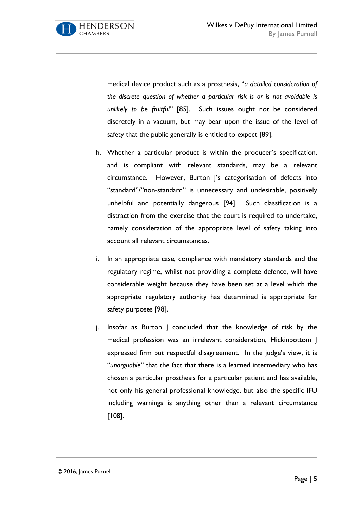

medical device product such as a prosthesis, "*a detailed consideration of the discrete question of whether a particular risk is or is not avoidable is unlikely to be fruitful"* [85]. Such issues ought not be considered discretely in a vacuum, but may bear upon the issue of the level of safety that the public generally is entitled to expect [89].

- h. Whether a particular product is within the producer's specification, and is compliant with relevant standards, may be a relevant circumstance. However, Burton J's categorisation of defects into "standard"/"non-standard" is unnecessary and undesirable, positively unhelpful and potentially dangerous [94]. Such classification is a distraction from the exercise that the court is required to undertake, namely consideration of the appropriate level of safety taking into account all relevant circumstances.
- i. In an appropriate case, compliance with mandatory standards and the regulatory regime, whilst not providing a complete defence, will have considerable weight because they have been set at a level which the appropriate regulatory authority has determined is appropriate for safety purposes [98].
- j. Insofar as Burton J concluded that the knowledge of risk by the medical profession was an irrelevant consideration, Hickinbottom J expressed firm but respectful disagreement. In the judge's view, it is "*unarguable*" that the fact that there is a learned intermediary who has chosen a particular prosthesis for a particular patient and has available, not only his general professional knowledge, but also the specific IFU including warnings is anything other than a relevant circumstance [108].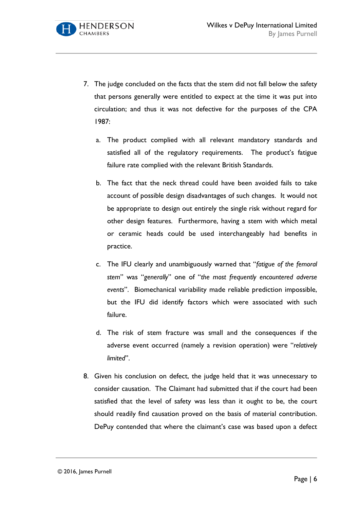CHAMRERS

- 7. The judge concluded on the facts that the stem did not fall below the safety that persons generally were entitled to expect at the time it was put into circulation; and thus it was not defective for the purposes of the CPA 1987:
	- a. The product complied with all relevant mandatory standards and satisfied all of the regulatory requirements. The product's fatigue failure rate complied with the relevant British Standards.
	- b. The fact that the neck thread could have been avoided fails to take account of possible design disadvantages of such changes. It would not be appropriate to design out entirely the single risk without regard for other design features. Furthermore, having a stem with which metal or ceramic heads could be used interchangeably had benefits in practice.
	- c. The IFU clearly and unambiguously warned that "*fatigue of the femoral stem*" was "*generally*" one of "*the most frequently encountered adverse events*". Biomechanical variability made reliable prediction impossible, but the IFU did identify factors which were associated with such failure.
	- d. The risk of stem fracture was small and the consequences if the adverse event occurred (namely a revision operation) were "*relatively limited*".
- 8. Given his conclusion on defect, the judge held that it was unnecessary to consider causation. The Claimant had submitted that if the court had been satisfied that the level of safety was less than it ought to be, the court should readily find causation proved on the basis of material contribution. DePuy contended that where the claimant's case was based upon a defect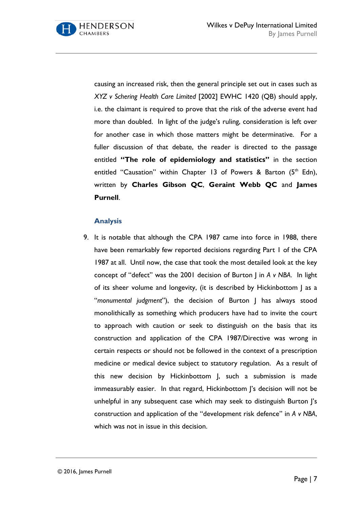causing an increased risk, then the general principle set out in cases such as *XYZ v Schering Health Care Limited* [2002] EWHC 1420 (QB) should apply, i.e. the claimant is required to prove that the risk of the adverse event had more than doubled. In light of the judge's ruling, consideration is left over for another case in which those matters might be determinative. For a fuller discussion of that debate, the reader is directed to the passage entitled **"The role of epidemiology and statistics"** in the section entitled "Causation" within Chapter 13 of Powers & Barton  $(5<sup>th</sup>$  Edn), written by **Charles Gibson QC**, **Geraint Webb QC** and **James Purnell**.

#### **Analysis**

9. It is notable that although the CPA 1987 came into force in 1988, there have been remarkably few reported decisions regarding Part 1 of the CPA 1987 at all. Until now, the case that took the most detailed look at the key concept of "defect" was the 2001 decision of Burton J in *A v NBA*. In light of its sheer volume and longevity, (it is described by Hickinbottom J as a "*monumental judgment*"), the decision of Burton J has always stood monolithically as something which producers have had to invite the court to approach with caution or seek to distinguish on the basis that its construction and application of the CPA 1987/Directive was wrong in certain respects or should not be followed in the context of a prescription medicine or medical device subject to statutory regulation. As a result of this new decision by Hickinbottom J, such a submission is made immeasurably easier. In that regard, Hickinbottom J's decision will not be unhelpful in any subsequent case which may seek to distinguish Burton J's construction and application of the "development risk defence" in *A v NBA*, which was not in issue in this decision.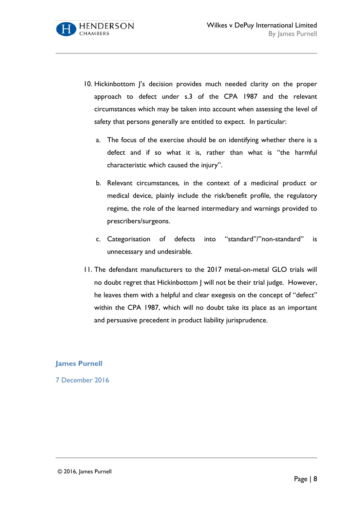- 10. Hickinbottom J's decision provides much needed clarity on the proper approach to defect under s.3 of the CPA 1987 and the relevant circumstances which may be taken into account when assessing the level of safety that persons generally are entitled to expect. In particular:
	- a. The focus of the exercise should be on identifying whether there is a defect and if so what it is, rather than what is "the harmful characteristic which caused the injury".
	- b. Relevant circumstances, in the context of a medicinal product or medical device, plainly include the risk/benefit profile, the regulatory regime, the role of the learned intermediary and warnings provided to prescribers/surgeons.
	- c. Categorisation of defects into "standard"/"non-standard" is unnecessary and undesirable.
- 11. The defendant manufacturers to the 2017 metal-on-metal GLO trials will no doubt regret that Hickinbottom J will not be their trial judge. However, he leaves them with a helpful and clear exegesis on the concept of "defect" within the CPA 1987, which will no doubt take its place as an important and persuasive precedent in product liability jurisprudence.

### **James Purnell**

7 December 2016